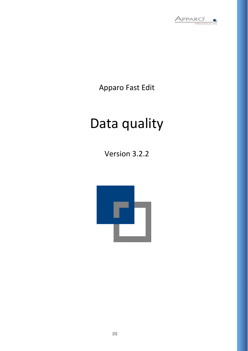

Apparo Fast Edit

# Data quality

Version 3.2.2

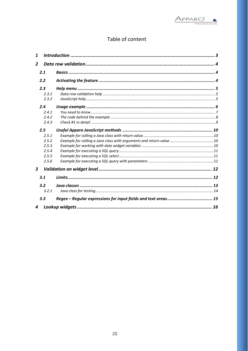

## Table of content

| 1                |  |
|------------------|--|
| $\overline{2}$   |  |
| 2.1              |  |
| 2.2              |  |
| 2.3              |  |
| 2.3.1            |  |
| 2.3.2            |  |
| 2.4              |  |
| 2.4.1            |  |
| 2.4.2            |  |
| 2.4.3            |  |
| 2.5              |  |
| 2.5.1            |  |
| 2.5.2            |  |
| 2.5.3            |  |
| 2.5.4            |  |
| 2.5.5            |  |
| 2.5.6            |  |
| $\boldsymbol{3}$ |  |
| 3.1              |  |
| 3.2              |  |
| 3.2.1            |  |
| 3.3              |  |
| 4                |  |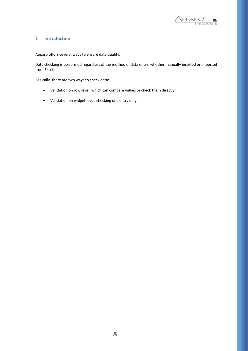

## <span id="page-2-0"></span>**1 Introduction**

Apparo offers several ways to ensure data quality.

Data checking is performed regardless of the method of data entry, whether manually inserted or imported from Excel.

Basically, there are two ways to check data:

- Validation on row level, which can compare values or check them directly.
- Validation on widget level, checking one entry only.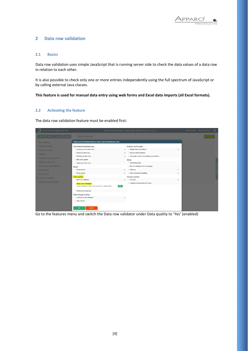

## <span id="page-3-0"></span>**2 Data row validation**

## <span id="page-3-1"></span>**2.1 Basics**

Data row validation uses simple JavaScript that is running server side to check the data values of a data row in relation to each other.

It is also possible to check only one or more entries independently using the full spectrum of JavaScript or by calling external Java classes.

**This feature is used for manual data entry using web forms and Excel data imports (all Excel formats).**

## <span id="page-3-2"></span>**2.2 Activating the feature**

The data row validation feature must be enabled first:

| Demonstration Apparo Fast Edit |                                                                        |   | Business Case Designer - Quality gate / Editing of data incl. qua |              | administrator Demonstration | $\mathcal{O}$ |
|--------------------------------|------------------------------------------------------------------------|---|-------------------------------------------------------------------|--------------|-----------------------------|---------------|
|                                | Data row validation                                                    |   |                                                                   |              |                             |               |
| Main settings                  | Please select all features that you want to use in this Business Case: |   |                                                                   |              |                             |               |
| <b>Standard buttons</b>        | Insert/delete/update/copy                                              |   | Actions and scripts                                               |              |                             |               |
| Filter data output             | Inserting of new data rows                                             | ✓ | Widget data calculations                                          |              |                             |               |
| Variables                      | Editing of data rows                                                   | ୰ | My own action buttons                                             |              |                             |               |
| Inserting of new data rows     | Deleting of data rows                                                  | ✓ | Automatic scripts and database procedures                         |              |                             |               |
|                                | <b>Bulk</b> data update                                                |   | Other                                                             |              |                             |               |
| Editing of data rows           | Copying of data rows                                                   |   | Refreshing data                                                   |              |                             |               |
| Delete data rows manually      | Excel                                                                  |   | • My own database error messages                                  |              |                             |               |
| <b>Excel import</b>            | Excel import                                                           | V | Filtering<br>18                                                   | $\checkmark$ |                             |               |
| <b>Excel export</b>            | Excel export                                                           | ے | Data transaction handling                                         | $\checkmark$ |                             |               |
| Data row validation:           | Data quality                                                           |   | Access control                                                    |              |                             |               |
| Auditing of data changes       | - Data row validator                                                   | v | Security<br>$\rightarrow$                                         | ر            |                             |               |
|                                | Data row validator                                                     |   | > Limited access (readonly mode)                                  |              |                             |               |
|                                | Enable validation of input when inserting or updating data<br>YES      |   |                                                                   |              |                             |               |
|                                | Checking primary key                                                   |   |                                                                   |              |                             |               |
|                                | Data change history                                                    |   |                                                                   |              |                             |               |
|                                | > Auditing of data changes                                             |   |                                                                   |              |                             |               |
|                                | Data history                                                           |   |                                                                   |              |                             |               |
|                                |                                                                        |   |                                                                   |              |                             |               |
|                                | <b>CANCEL</b><br>OK                                                    |   |                                                                   |              |                             |               |

Go to the features menu and switch the Data row validator under Data quality to 'Yes' (enabled)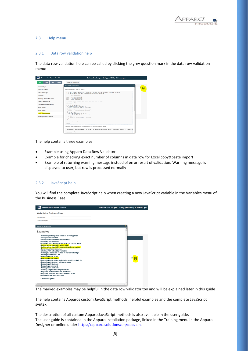

## <span id="page-4-0"></span>**2.3 Help menu**

## <span id="page-4-1"></span>2.3.1 Data row validation help

The data row validation help can be called by clicking the grey question mark in the data row validation menu:



The help contains three examples:

- Example using Apparo Data Row Validator
- Example for checking exact number of columns in data row for Excel copy&paste import
- Example of returning warning message instead of error result of validation. Warning message is displayed to user, but row is processed normally

## <span id="page-4-2"></span>2.3.2 JavaScript help

You will find the complete JavaScript help when creating a new JavaScript variable in the Variables menu of the Business Case:

| <b>Variable for Business Case</b>                                                                                                                                                                                                                                                                                                                                                                                                                                                                                                                                                                                                                                                                                                                                                                                                                                                                                                                |   |
|--------------------------------------------------------------------------------------------------------------------------------------------------------------------------------------------------------------------------------------------------------------------------------------------------------------------------------------------------------------------------------------------------------------------------------------------------------------------------------------------------------------------------------------------------------------------------------------------------------------------------------------------------------------------------------------------------------------------------------------------------------------------------------------------------------------------------------------------------------------------------------------------------------------------------------------------------|---|
| Variable name                                                                                                                                                                                                                                                                                                                                                                                                                                                                                                                                                                                                                                                                                                                                                                                                                                                                                                                                    |   |
| Variable description                                                                                                                                                                                                                                                                                                                                                                                                                                                                                                                                                                                                                                                                                                                                                                                                                                                                                                                             |   |
| Javascript syntax help                                                                                                                                                                                                                                                                                                                                                                                                                                                                                                                                                                                                                                                                                                                                                                                                                                                                                                                           | × |
| <b>Examples</b>                                                                                                                                                                                                                                                                                                                                                                                                                                                                                                                                                                                                                                                                                                                                                                                                                                                                                                                                  |   |
| - Returning a string value based on security group<br>- Using custom function<br>- Using custom functions declared in file<br>- Using Apparo variables<br>- Using Apparo LANGUAGE variable in a column name<br>- Calling a java class with return value<br>- Calling a java class with arguments and return value<br>- Dynamic variable resolving<br>- Working with date widget variables<br>- Getting the name and content of the current widget<br>- Storing content into a file<br>- Executing a SQL query<br>- Executing a SQL select<br>- Executing a SQL select and storing result into XML file<br>- Executing a SQL query with parameters<br>- Executing a SQL insert<br>- Executing a command<br>- Making a row read-only<br>- Reading Cognos session parameters<br>- Exporting all Business Case data to file<br>- Exporting selected Business Case data to file<br>- Running Email Business Case<br>- JavaScript syntax<br>$\epsilon$ |   |

The marked examples may be helpful in the data row validator too and will be explained later in this guide

The help contains Apparos custom JavaScript methods, helpful examples and the complete JavaScript syntax.

The description of all custom Apparo JavaScript methods is also available in the user guide. The user guide is contained in the Apparo installation package, linked in the Training menu in the Apparo Designer or online under [https://apparo.solutions/en/docs-en.](https://apparo.solutions/en/docs-en)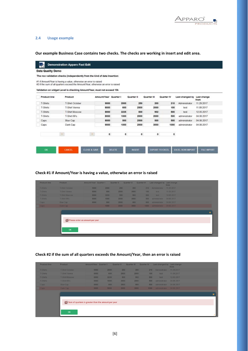

## <span id="page-5-0"></span>**2.4 Usage example**

**Our example Business Case contains two checks. The checks are working in insert and edit area.**

|                 | Data Quality Demo                                                                  |                       |              |              |             |            |                 |                     |
|-----------------|------------------------------------------------------------------------------------|-----------------------|--------------|--------------|-------------|------------|-----------------|---------------------|
|                 | The row validation checks (independently from the kind of data Insertion:          |                       |              |              |             |            |                 |                     |
|                 | #1 if Amount/Year is having a value, otherwise an error is raised                  |                       |              |              |             |            |                 |                     |
|                 | #2 if the sum of all quarters exceed the Amount/Year, otherwise an error is raised |                       |              |              |             |            |                 |                     |
|                 | Validation on widget Level is checking Amount/Year, must not exceed 10k            |                       |              |              |             |            |                 |                     |
|                 |                                                                                    |                       |              |              |             |            |                 |                     |
| Product line    | Product                                                                            | Amount/Year Quarter I |              | Quarter III  | Quarter III | Quarter IV | Last changed by | Last change<br>from |
| <b>T-Shirts</b> | <b>T-Shirt October</b>                                                             | 9000                  | 2000         | 250          | 200         | 210        | Administrator   | 11 29 2017          |
| T-Shirts        | T-Shirt Vienna                                                                     | 8000                  | 600          | 2500         | 2000        | 100        | test            | 11.09.2017          |
| T-Shirts        | <b>T-Shirt Moscow</b>                                                              | 8000                  | 3235         | 500          | 902         | 500        | test            | 12.05.2017          |
| T-Shirts        | T-Shirt 69's                                                                       | 8000                  | 1000         | 2000         | 2000        | 500        | administrator   | 04.06.2017          |
| Caps            | <b>Blue Cap</b>                                                                    | 8000                  | 500          | 2500         | 500         | 500        | administrator   | 04.06.2017          |
| Caps            | Dark Cap                                                                           | 9000                  | 1000         | 2000         | 3000        | 1000       | administrator   | 04.06.2017          |
|                 |                                                                                    |                       |              |              |             |            |                 |                     |
|                 | $\mathcal{M}(\mathcal{C})$                                                         | $\circ$<br>$-1$       | $\mathbf{0}$ | $\mathbf{0}$ | $\circ$     | ۰          |                 |                     |
|                 |                                                                                    |                       |              |              |             |            |                 |                     |

## **Check #1 if Amount/Year is having a value, otherwise an error is raised**

| <b>Product line</b> | <b>Product</b>        | Amount/Year Quarter I           |      | Quarter II | Quarter III | Quarter IV | Last changed by Last change | from                    |
|---------------------|-----------------------|---------------------------------|------|------------|-------------|------------|-----------------------------|-------------------------|
| T-Shirts            | T-Shirt October       | 9000                            | 2000 | 250        | 200         | 210        | Administrator               | 11.29.2017              |
| T-Shirts            | <b>T-Shirt Vienna</b> | 8000                            | 600  | 2500       | 2000        | 100        | test                        | 11.09.2017              |
| T-Shirts            | <b>T-Shirt Moscow</b> | 8000                            | 3235 | 500        | 902         | 500        | test                        | 12.05.2017              |
| T-Shirts            | T-Shirt 69's          | 8000                            | 1000 | 2000       | 2000        | 500        | administrator               | 04.06.2017              |
| Caps                | Blue Cap              | 8000                            | 500  | 2500       | 500         | 500        | administrator               | 04.06.2017              |
| Caps                | Dark Cap              |                                 | 1000 | 2000       | 3000        | 1000       | administrator 04.06.2017    |                         |
|                     |                       | Please enter an amount per year |      |            |             |            |                             | $\overline{\mathbf{x}}$ |
|                     | OK                    |                                 |      |            |             |            |                             |                         |

## **Check #2 if the sum of all quarters exceeds the Amount/Year, then an error is raised**

| <b>Product line</b> | <b>Product</b>         | Amount/Year Quarter I                               |      | Quarter II | <b>Quarter III</b> | <b>Quarter IV</b> | Last changed by Last change | from       |  |
|---------------------|------------------------|-----------------------------------------------------|------|------------|--------------------|-------------------|-----------------------------|------------|--|
| T-Shirts            | <b>T-Shirt October</b> | 9000                                                | 2000 | 250        | 200                | 210               | Administrator               | 11.29.2017 |  |
| T-Shirts            | <b>T-Shirt Vienna</b>  | 8000                                                | 600  | 2500       | 2000               | 100               | test                        | 11.09.2017 |  |
| T-Shirts            | <b>T-Shirt Moscow</b>  | 8000                                                | 3235 | 500        | 902                | 500               | test                        | 12.05.2017 |  |
| T-Shirts            | T-Shirt 69's           | 8000                                                | 1000 | 2000       | 2000               | 500               | administrator               | 04.06.2017 |  |
| Caps                | Blue Cap               | 8000                                                | 500  | 2500       | 500                | 500               | administrator               | 04.06.2017 |  |
|                     | Dark Cap               | 9000                                                | 5000 | 2000       | 3000               | 1000              | administrator 04.06.2017    |            |  |
| Caps                |                        |                                                     |      |            |                    |                   |                             |            |  |
|                     |                        | Sum of quarters is greater than the amount per year |      |            |                    |                   |                             |            |  |
|                     |                        |                                                     |      |            |                    |                   |                             |            |  |
|                     |                        |                                                     |      |            |                    |                   |                             |            |  |
|                     |                        |                                                     |      |            |                    |                   |                             |            |  |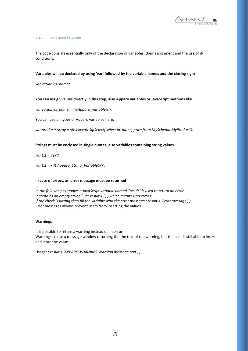

## <span id="page-6-0"></span>2.4.1 You need to know

The code consists essentially only of the declaration of variables, their assignment and the use of ifconditions.

## **Variables will be declared by using 'var' followed by the variable names and the closing sign:**

*var variables\_name;*

## **You can assign values directly in this step, also Apparo variables or JavaScript methods like**

*var variables\_name = <%Apparo\_variable%>;*

You can use all types of Apparo variables here.

*var productsArray = afe.executeSqlSelect('select id, name, price from MySchema.MyProduct');*

## **Strings must be enclosed in single quotes, also variables containing string values**

*var txt = 'text';*

*var txt = '<% Apparo\_String\_Variable%>';*

#### **In case of errors, an error message must be returned**

*In the following examples a JavaScript variable named "result" is used to return an error. It contains an empty string ( var result = ''; ) which means = no errors. If the check is hitting then fill the variable with the error message (result = 'Error message'; )* Error messages always prevent users from inserting the values.

## **Warnings**

It is possible to return a warning instead of an error. Warnings create a message window returning the the text of the warning, but the user is still able to insert and store the value.

Usage: *( result = 'APPARO-WARNING:Warning message text'; )*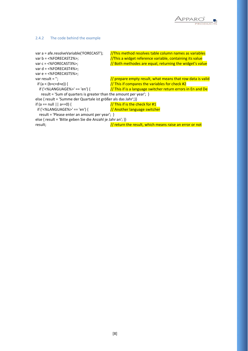

## <span id="page-7-0"></span>2.4.2 The code behind the example

```
var a = afe.resolveVariable('FORECAST'); /This method resolves table column names as variables
var b = <%FORECAST2%>; //This a widget reference variable, containing its value
var c = <%FORECAST3%>; \frac{1}{10} Both methodes are equal, returning the widget's value
var d = <%FORECAST4%>;
var e = <%FORECAST5%>;
var result = "; \frac{1}{\sqrt{2\pi}} // prepare empty result, what means that row data is valid
 if (a < (b+c+d+e)) { \frac{1}{\sqrt{1}} This if compares the variables for check #2
  if ('<%LANGUAGE%>' == 'en') { \frac{1}{\sqrt{1}} This if is a language switcher return errors in En and De
    result = 'Sum of quarters is greater than the amount per year'; } 
else { result = 'Summe der Quartale ist größer als das Jahr';}}<br>if (a == null | | a==0) { \frac{1}{\sqrt{1}} This if is the ch
                                             \frac{1}{1} This if is the check for #1
if ('<%LANGUAGE%>' == 'en') { \frac{1}{4} Another language switcher
   result = 'Please enter an amount per year'; } 
else { result = 'Bitte geben Sie die Anzahl je Jahr an'; }}
```
result; *// return the result, which means raise an error or not*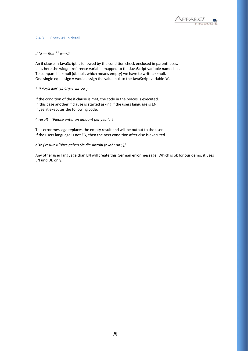

## <span id="page-8-0"></span>2.4.3 Check #1 in detail

## *if (a == null || a==0)*

An if clause in JavaScript is followed by the condition check enclosed in parentheses. 'a' is here the widget reference variable mapped to the JavaScript variable named 'a'. To compare if a= null (db null, which means empty) we have to write a==null. One single equal sign = would assign the value null to the JavaScript variable 'a'.

*{ if ('<%LANGUAGE%>' == 'en')* 

If the condition of the if clause is met, the code in the braces is executed. In this case another if clause is started asking if the users language is EN. If yes, it executes the following code:

*{ result = 'Please enter an amount per year'; }* 

This error message replaces the empty result and will be output to the user. If the users language is not EN, then the next condition after else is executed.

*else { result = 'Bitte geben Sie die Anzahl je Jahr an'; }}*

Any other user language than EN will create this German error message. Which is ok for our demo, it uses EN und DE only.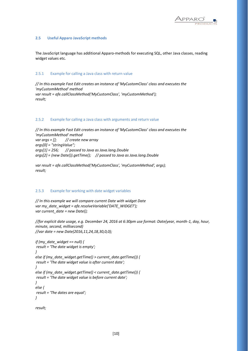

## <span id="page-9-0"></span>**2.5 Useful Apparo JavaScript methods**

The JavaScript language has additional Apparo-methods for executing SQL, other Java classes, reading widget values etc.

## <span id="page-9-1"></span>2.5.1 Example for calling a Java class with return value

*// In this example Fast Edit creates an instance of 'MyCustomClass' class and executes the 'myCustomMethod' method var result = afe.callClassMethod('MyCustomClass', 'myCustomMethod'); result;*

## <span id="page-9-2"></span>2.5.2 Example for calling a Java class with arguments and return value

*// In this example Fast Edit creates an instance of 'MyCustomClass' class and executes the 'myCustomMethod' method var args = []; // create new array args[0] = "stringValue"; args[1] = 256; // passed to Java as Java.lang.Double args[2] = (new Date()).getTime(); // passed to Java as Java.lang.Double*

*var result = afe.callClassMethod('MyCustomClass', 'myCustomMethod', args); result;*

## <span id="page-9-3"></span>2.5.3 Example for working with date widget variables

*// In this example we will compare current Date with widget Date var my\_date\_widget = afe.resolveVariable('DATE\_WIDGET'); var current\_date = new Date();* 

*//for explicit date usage, e.g. December 24, 2016 at 6:30pm use format: Date(year, month-1, day, hour, minute, second, millisecond) //var date = new Date(2016,11,24,18,30,0,0);*

```
if (my_date_widget == null) {
result = 'The date widget is empty';
}
else if (my_date_widget.getTime() > current_date.getTime()) {
result = 'The date widget value is after current date';
}
else if (my_date_widget.getTime() < current_date.getTime()) {
result = 'The date widget value is before current date';
}
else {
result = 'The dates are equal';
}
```
*result;*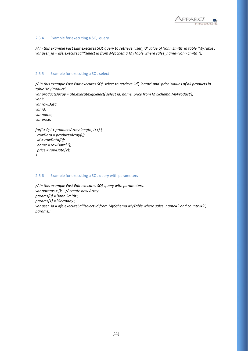

## <span id="page-10-0"></span>2.5.4 Example for executing a SQL query

*// In this example Fast Edit executes SQL query to retrieve 'user\_id' value of 'John Smith' in table 'MyTable'.* var user\_id = afe.executeSql("select id from MySchema.MyTable where sales\_name='John Smith'");

## <span id="page-10-1"></span>2.5.5 Example for executing a SQL select

```
// In this example Fast Edit executes SQL select to retrieve 'id', 'name' and 'price' values of all products in 
table 'MyProduct'.
var productsArray = afe.executeSqlSelect('select id, name, price from MySchema.MyProduct');
var i;
var rowData;
var id;
var name;
var price;
for(i = 0; i < productsArray.length; i++) {
  rowData = productsArray[i];
 id = rowData[0];
 name = rowData[1];
  price = rowData[2];
```

```
}
```
## <span id="page-10-2"></span>2.5.6 Example for executing a SQL query with parameters

```
// In this example Fast Edit executes SQL query with parameters.
var params = []; // create new Array
params[0] = 'John Smith';
params[1] = 'Germany';
var user_id = afe.executeSql('select id from MySchema.MyTable where sales_name=? and country=?', 
params);
```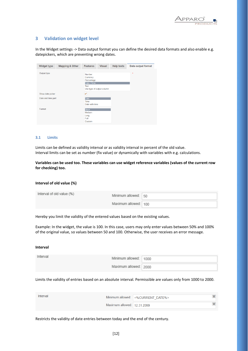

## <span id="page-11-0"></span>**3 Validation on widget level**

In the Widget settings -> Data output format you can define the desired data formats and also enable e.g. datepickers, which are preventing wrong dates.

| <b>Widget type</b> | <b>Mapping &amp; Other</b> | <b>Features</b>                                         | <b>Visual</b>             | <b>Help texts</b> | Data output format |
|--------------------|----------------------------|---------------------------------------------------------|---------------------------|-------------------|--------------------|
| Output type        |                            | Number<br>Currency<br>Percentage<br>Date / Time<br>Text | Use type of output column |                   | $\star$            |
| Show date picker   |                            | v                                                       |                           |                   |                    |
| Date and time part |                            | <b>Date</b><br>Time<br>Date with time                   |                           |                   |                    |
| Format             |                            | <b>Short</b><br>Medium<br>Long<br>Full<br>Custom        |                           |                   |                    |

## <span id="page-11-1"></span>**3.1 Limits**

Limits can be defined as validity interval or as validity interval in percent of the old value. Interval limits can be set as number (fix value) or dynamically with variables with e.g. calculations.

**Variables can be used too. These variables can use widget reference variables (values of the current row for checking) too.**

#### **Interval of old value (%)**

| Interval of old value (%) | Minimum allowed: 50  |  |
|---------------------------|----------------------|--|
|                           | Maximum allowed: 100 |  |

Hereby you limit the validity of the entered values based on the existing values.

Example: In the widget, the value is 100. In this case, users may only enter values between 50% and 100% of the original value, so values between 50 and 100. Otherwise, the user receives an error message.

#### **Interval**

| Interval | Minimum allowed: 1000 |  |
|----------|-----------------------|--|
|          | Maximum allowed: 2000 |  |

Limits the validity of entries based on an absolute interval. Permissible are values only from 1000 to 2000.

| Interval |                             | Minimum allowed: <%CURRENT DATE%> |  |
|----------|-----------------------------|-----------------------------------|--|
|          | Maximum allowed: 12.31.2099 |                                   |  |

Restricts the validity of date entries between today and the end of the century.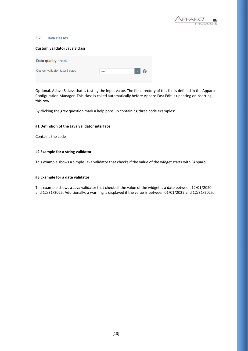

#### <span id="page-12-0"></span>**3.2 Java classes**

## **Custom validator Java 8 class**

| Data quality check            |      |                         |  |
|-------------------------------|------|-------------------------|--|
| Custom validator Java 8 class | ---- | $\blacksquare$ $\Omega$ |  |

Optional. A Java 8 class that is testing the input value. The file directory of this file is defined in the Apparo Configuration Manager. This class is called automatically before Apparo Fast Edit is updating or inserting this row.

By clicking the grey question mark a help pops up containing three code examples:

#### **#1 Definition of the Java validator interface**

Contains the code

#### **#2 Example for a string validator**

This example shows a simple Java validator that checks if the value of the widget starts with "Apparo".

#### **#3 Example for a date validator**

This example shows a Java validator that checks if the value of the widget is a date between 12/01/2020 and 12/31/2025. Additionally, a warning is displayed if the value is between 01/01/2025 and 12/31/2025.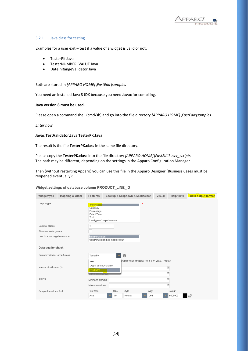

## <span id="page-13-0"></span>3.2.1 Java class for testing

Examples for a user exit – test if a value of a widget is valid or not:

- TesterPK.Java
- TesterNUMBER\_VALUE.Java
- DateInRangeValidator.Java

## Both are stored in *[APPARO HOME]\FastEdit\samples*

You need an installed Java 8 JDK because you need **Javac** for compiling.

## **Java version 8 must be used.**

Please open a command shell (cmd/sh) and go into the file directory *[APPARO HOME]\FastEdit\samples*

*Enter now:*

## **Javac TestValidator.Java TesterPK.Java**

The result is the file **TesterPK.class** in the same file directory.

Please copy the **TesterPK.class** into the file directory *[APPARO HOME]\FastEdit\user\_scripts* The path may be different, depending on the settings in the Apparo Configuration Manager.

Then (without restarting Apparo) you can use this file in the Apparo Designer (Business Cases must be reopened eventually):

## Widget settings of database column PRODUCT\_LINE\_ID

| Widget type                   | <b>Mapping &amp; Other</b> | <b>Features</b>                                                                      |      | Lookup & Dropdown & Multiselect                              |       | <b>Visual</b>          | <b>Help texts</b> | <b>Data output format</b> |
|-------------------------------|----------------------------|--------------------------------------------------------------------------------------|------|--------------------------------------------------------------|-------|------------------------|-------------------|---------------------------|
| Output type                   |                            | Number<br>Currency<br>Percentage<br>Date / Time<br>Text<br>Use type of output column |      |                                                              | ×     |                        |                   |                           |
| Decimal places                |                            | $\overline{2}$                                                                       |      |                                                              |       |                        |                   |                           |
| Show separate groups          |                            |                                                                                      |      |                                                              |       |                        |                   |                           |
| How to show negative number   |                            | with minus sign<br>with minus sign and in red colour                                 |      |                                                              |       |                        |                   |                           |
| Data quality check            |                            |                                                                                      |      |                                                              |       |                        |                   |                           |
| Custom validator Java 8 class |                            | <b>TesterPK</b>                                                                      |      | 0                                                            |       |                        |                   |                           |
| Interval of old value (%)     |                            | $- - - -$<br>ApparoStringValidator<br><b>TesterPK</b><br><b>VICIALITIQUE CHIOWED</b> |      | $pr$ (test value of widget PK if $1 \le$ value $\le$ = 1000) |       | ${\sf V}$<br>${\sf V}$ |                   |                           |
| Interval                      |                            | Minimum allowed:                                                                     |      |                                                              |       | ${\sf V}$              |                   |                           |
|                               |                            | Maximum allowed:                                                                     |      |                                                              |       |                        | $\vee$            |                           |
| Sample format text font       |                            | Font face                                                                            | Size | Style                                                        | Align |                        | Colour            |                           |
|                               |                            | Arial                                                                                | 10   | Normal                                                       | Left  |                        | #000000           |                           |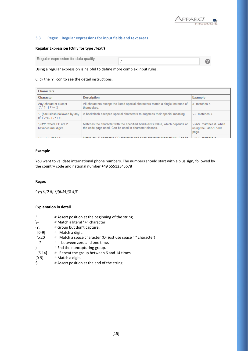

## <span id="page-14-0"></span>**3.3 Regex – Regular expressions for input fields and text areas**

## **Regular Expression (Only for type , Text')**

| Regular expression for data quality |  |
|-------------------------------------|--|
|                                     |  |

Using a regular expression is helpful to define more complex input rules.

## Click the '?' icon to see the detail instructions.

| <b>Characters</b>                                            |                                                                                                                                      |                                                        |
|--------------------------------------------------------------|--------------------------------------------------------------------------------------------------------------------------------------|--------------------------------------------------------|
| Character                                                    | <b>Description</b>                                                                                                                   | Example                                                |
| Any character except<br>$[1^s, 1^s, 1^s, 1^s, 0]$            | All characters except the listed special characters match a single instance of<br>themselves.                                        | a matches a                                            |
| (backslash) followed by any<br>of $[\ \& \$ , $  \ ? \$ + () | A backslash escapes special characters to suppress their special meaning.                                                            | $+$ matches $+$                                        |
| <b>\xFF</b> where FF are 2<br>hexadecimal digits             | Matches the character with the specified ASCII/ANSI value, which depends on<br>the code page used. Can be used in character classes. | ∖xA9 matches © when<br>using the Latin-1 code<br>page. |
| $-1$ $\sim$ and $\sim$                                       | Match and E character. CD character and a tab character respectively. Can be all what matches a                                      |                                                        |

## **Example**

You want to validate international phone numbers. The numbers should start with a plus sign, followed by the country code and national number +49 55512345678

## **Regex**

*^\+(?:[0-9] ?){6,14}[0-9]\$*

## **Explanation in detail**

| Λ              | # Assert position at the beginning of the string.           |
|----------------|-------------------------------------------------------------|
| \+             | # Match a literal "+" character.                            |
| (?:            | # Group but don't capture:                                  |
| $[0-9]$        | # Match a digit.                                            |
| $\x20$         | # Match a space character (Or just use space " " character) |
| -?             | between zero and one time.<br>#                             |
|                | # End the noncapturing group.                               |
| ${6, 14}$      | # Repeat the group between 6 and 14 times.                  |
| $[0-9]$        | # Match a digit.                                            |
| $\overline{a}$ |                                                             |

<sup>\$ #</sup> Assert position at the end of the string.